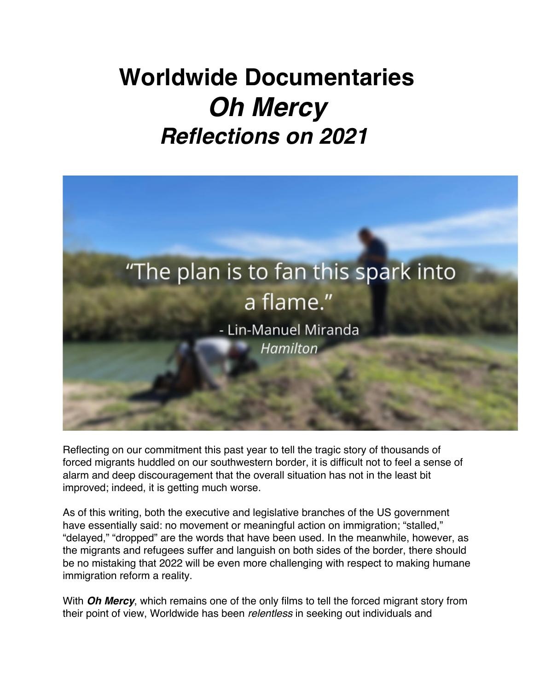## **Worldwide Documentaries** *Oh Mercy Reflections on 2021*



Reflecting on our commitment this past year to tell the tragic story of thousands of forced migrants huddled on our southwestern border, it is difficult not to feel a sense of alarm and deep discouragement that the overall situation has not in the least bit improved; indeed, it is getting much worse.

As of this writing, both the executive and legislative branches of the US government have essentially said: no movement or meaningful action on immigration; "stalled," "delayed," "dropped" are the words that have been used. In the meanwhile, however, as the migrants and refugees suffer and languish on both sides of the border, there should be no mistaking that 2022 will be even more challenging with respect to making humane immigration reform a reality.

With *Oh Mercy*, which remains one of the only films to tell the forced migrant story from their point of view, Worldwide has been *relentless* in seeking out individuals and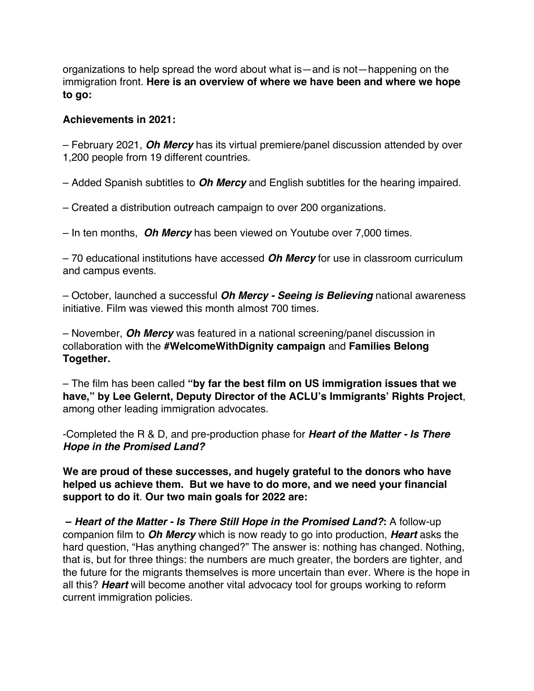organizations to help spread the word about what is—and is not—happening on the immigration front. **Here is an overview of where we have been and where we hope to go:**

## **Achievements in 2021:**

– February 2021, *Oh Mercy* has its virtual premiere/panel discussion attended by over 1,200 people from 19 different countries.

– Added Spanish subtitles to *Oh Mercy* and English subtitles for the hearing impaired.

– Created a distribution outreach campaign to over 200 organizations.

– In ten months, *Oh Mercy* has been viewed on Youtube over 7,000 times.

– 70 educational institutions have accessed *Oh Mercy* for use in classroom curriculum and campus events.

– October, launched a successful *Oh Mercy - Seeing is Believing* national awareness initiative. Film was viewed this month almost 700 times.

– November, *Oh Mercy* was featured in a national screening/panel discussion in collaboration with the **#WelcomeWithDignity campaign** and **Families Belong Together.**

– The film has been called **"by far the best film on US immigration issues that we have," by Lee Gelernt, Deputy Director of the ACLU's Immigrants' Rights Project**, among other leading immigration advocates.

-Completed the R & D, and pre-production phase for *Heart of the Matter - Is There Hope in the Promised Land?*

**We are proud of these successes, and hugely grateful to the donors who have helped us achieve them. But we have to do more, and we need your financial support to do it**. **Our two main goals for 2022 are:**

**–** *Heart of the Matter - Is There Still Hope in the Promised Land?***:** A follow-up companion film to *Oh Mercy* which is now ready to go into production, *Heart* asks the hard question, "Has anything changed?" The answer is: nothing has changed. Nothing, that is, but for three things: the numbers are much greater, the borders are tighter, and the future for the migrants themselves is more uncertain than ever. Where is the hope in all this? *Heart* will become another vital advocacy tool for groups working to reform current immigration policies.